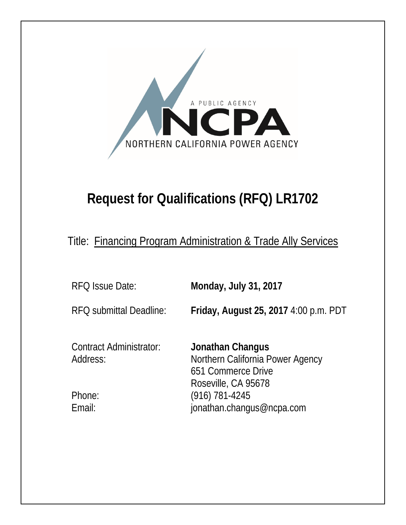

# **Request for Qualifications (RFQ) LR1702**

Title: Financing Program Administration & Trade Ally Services

RFQ Issue Date: **Monday, July 31, 2017**

RFQ submittal Deadline: **Friday, August 25, 2017** 4:00 p.m. PDT

Contract Administrator: **Jonathan Changus**

Address: Northern California Power Agency 651 Commerce Drive Roseville, CA 95678 Phone: (916) 781-4245 Email: jonathan.changus@ncpa.com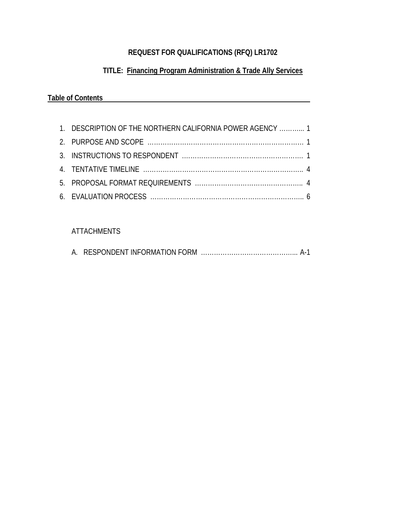## **REQUEST FOR QUALIFICATIONS (RFQ) LR1702**

## **TITLE: Financing Program Administration & Trade Ally Services**

## **Table of Contents**

| 1. DESCRIPTION OF THE NORTHERN CALIFORNIA POWER AGENCY  1 |  |
|-----------------------------------------------------------|--|
|                                                           |  |
|                                                           |  |
|                                                           |  |
|                                                           |  |
|                                                           |  |

## ATTACHMENTS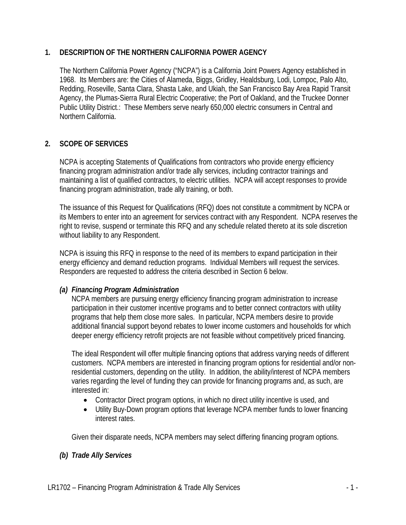#### **1. DESCRIPTION OF THE NORTHERN CALIFORNIA POWER AGENCY**

The Northern California Power Agency ("NCPA") is a California Joint Powers Agency established in 1968. Its Members are: the Cities of Alameda, Biggs, Gridley, Healdsburg, Lodi, Lompoc, Palo Alto, Redding, Roseville, Santa Clara, Shasta Lake, and Ukiah, the San Francisco Bay Area Rapid Transit Agency, the Plumas-Sierra Rural Electric Cooperative; the Port of Oakland, and the Truckee Donner Public Utility District.: These Members serve nearly 650,000 electric consumers in Central and Northern California.

## **2. SCOPE OF SERVICES**

NCPA is accepting Statements of Qualifications from contractors who provide energy efficiency financing program administration and/or trade ally services, including contractor trainings and maintaining a list of qualified contractors, to electric utilities. NCPA will accept responses to provide financing program administration, trade ally training, or both.

The issuance of this Request for Qualifications (RFQ) does not constitute a commitment by NCPA or its Members to enter into an agreement for services contract with any Respondent. NCPA reserves the right to revise, suspend or terminate this RFQ and any schedule related thereto at its sole discretion without liability to any Respondent.

NCPA is issuing this RFQ in response to the need of its members to expand participation in their energy efficiency and demand reduction programs. Individual Members will request the services. Responders are requested to address the criteria described in Section 6 below.

## *(a) Financing Program Administration*

NCPA members are pursuing energy efficiency financing program administration to increase participation in their customer incentive programs and to better connect contractors with utility programs that help them close more sales. In particular, NCPA members desire to provide additional financial support beyond rebates to lower income customers and households for which deeper energy efficiency retrofit projects are not feasible without competitively priced financing.

The ideal Respondent will offer multiple financing options that address varying needs of different customers. NCPA members are interested in financing program options for residential and/or nonresidential customers, depending on the utility. In addition, the ability/interest of NCPA members varies regarding the level of funding they can provide for financing programs and, as such, are interested in:

- Contractor Direct program options, in which no direct utility incentive is used, and
- Utility Buy-Down program options that leverage NCPA member funds to lower financing interest rates.

Given their disparate needs, NCPA members may select differing financing program options.

## *(b) Trade Ally Services*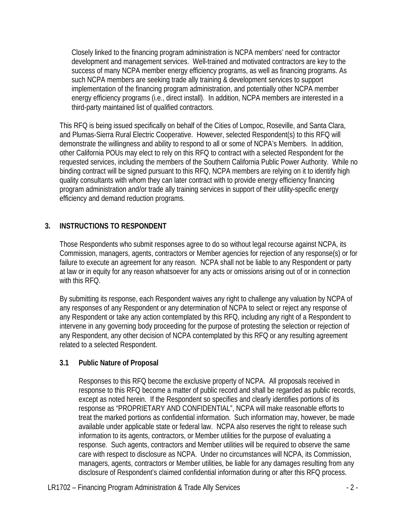Closely linked to the financing program administration is NCPA members' need for contractor development and management services. Well-trained and motivated contractors are key to the success of many NCPA member energy efficiency programs, as well as financing programs. As such NCPA members are seeking trade ally training & development services to support implementation of the financing program administration, and potentially other NCPA member energy efficiency programs (i.e., direct install). In addition, NCPA members are interested in a third-party maintained list of qualified contractors.

This RFQ is being issued specifically on behalf of the Cities of Lompoc, Roseville, and Santa Clara, and Plumas-Sierra Rural Electric Cooperative. However, selected Respondent(s) to this RFQ will demonstrate the willingness and ability to respond to all or some of NCPA's Members. In addition, other California POUs may elect to rely on this RFQ to contract with a selected Respondent for the requested services, including the members of the Southern California Public Power Authority. While no binding contract will be signed pursuant to this RFQ, NCPA members are relying on it to identify high quality consultants with whom they can later contract with to provide energy efficiency financing program administration and/or trade ally training services in support of their utility-specific energy efficiency and demand reduction programs.

## **3. INSTRUCTIONS TO RESPONDENT**

Those Respondents who submit responses agree to do so without legal recourse against NCPA, its Commission, managers, agents, contractors or Member agencies for rejection of any response(s) or for failure to execute an agreement for any reason. NCPA shall not be liable to any Respondent or party at law or in equity for any reason whatsoever for any acts or omissions arising out of or in connection with this RFQ.

By submitting its response, each Respondent waives any right to challenge any valuation by NCPA of any responses of any Respondent or any determination of NCPA to select or reject any response of any Respondent or take any action contemplated by this RFQ, including any right of a Respondent to intervene in any governing body proceeding for the purpose of protesting the selection or rejection of any Respondent, any other decision of NCPA contemplated by this RFQ or any resulting agreement related to a selected Respondent.

#### **3.1 Public Nature of Proposal**

Responses to this RFQ become the exclusive property of NCPA. All proposals received in response to this RFQ become a matter of public record and shall be regarded as public records, except as noted herein. If the Respondent so specifies and clearly identifies portions of its response as "PROPRIETARY AND CONFIDENTIAL", NCPA will make reasonable efforts to treat the marked portions as confidential information. Such information may, however, be made available under applicable state or federal law. NCPA also reserves the right to release such information to its agents, contractors, or Member utilities for the purpose of evaluating a response. Such agents, contractors and Member utilities will be required to observe the same care with respect to disclosure as NCPA. Under no circumstances will NCPA, its Commission, managers, agents, contractors or Member utilities, be liable for any damages resulting from any disclosure of Respondent's claimed confidential information during or after this RFQ process.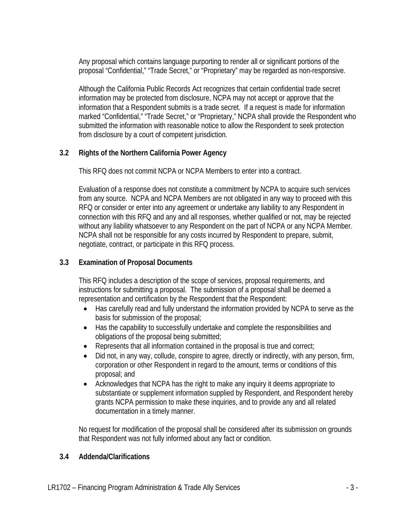Any proposal which contains language purporting to render all or significant portions of the proposal "Confidential," "Trade Secret," or "Proprietary" may be regarded as non-responsive.

Although the California Public Records Act recognizes that certain confidential trade secret information may be protected from disclosure, NCPA may not accept or approve that the information that a Respondent submits is a trade secret. If a request is made for information marked "Confidential," "Trade Secret," or "Proprietary," NCPA shall provide the Respondent who submitted the information with reasonable notice to allow the Respondent to seek protection from disclosure by a court of competent jurisdiction.

## **3.2 Rights of the Northern California Power Agency**

This RFQ does not commit NCPA or NCPA Members to enter into a contract.

Evaluation of a response does not constitute a commitment by NCPA to acquire such services from any source. NCPA and NCPA Members are not obligated in any way to proceed with this RFQ or consider or enter into any agreement or undertake any liability to any Respondent in connection with this RFQ and any and all responses, whether qualified or not, may be rejected without any liability whatsoever to any Respondent on the part of NCPA or any NCPA Member. NCPA shall not be responsible for any costs incurred by Respondent to prepare, submit, negotiate, contract, or participate in this RFQ process.

## **3.3 Examination of Proposal Documents**

This RFQ includes a description of the scope of services, proposal requirements, and instructions for submitting a proposal. The submission of a proposal shall be deemed a representation and certification by the Respondent that the Respondent:

- Has carefully read and fully understand the information provided by NCPA to serve as the basis for submission of the proposal;
- Has the capability to successfully undertake and complete the responsibilities and obligations of the proposal being submitted;
- Represents that all information contained in the proposal is true and correct;
- Did not, in any way, collude, conspire to agree, directly or indirectly, with any person, firm, corporation or other Respondent in regard to the amount, terms or conditions of this proposal; and
- Acknowledges that NCPA has the right to make any inquiry it deems appropriate to substantiate or supplement information supplied by Respondent, and Respondent hereby grants NCPA permission to make these inquiries, and to provide any and all related documentation in a timely manner.

No request for modification of the proposal shall be considered after its submission on grounds that Respondent was not fully informed about any fact or condition.

## **3.4 Addenda/Clarifications**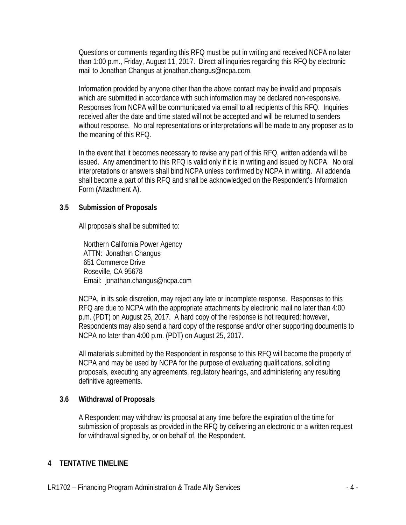Questions or comments regarding this RFQ must be put in writing and received NCPA no later than 1:00 p.m., Friday, August 11, 2017. Direct all inquiries regarding this RFQ by electronic mail to Jonathan Changus at jonathan.changus@ncpa.com.

Information provided by anyone other than the above contact may be invalid and proposals which are submitted in accordance with such information may be declared non-responsive. Responses from NCPA will be communicated via email to all recipients of this RFQ. Inquiries received after the date and time stated will not be accepted and will be returned to senders without response. No oral representations or interpretations will be made to any proposer as to the meaning of this RFQ.

In the event that it becomes necessary to revise any part of this RFQ, written addenda will be issued. Any amendment to this RFQ is valid only if it is in writing and issued by NCPA. No oral interpretations or answers shall bind NCPA unless confirmed by NCPA in writing. All addenda shall become a part of this RFQ and shall be acknowledged on the Respondent's Information Form (Attachment A).

#### **3.5 Submission of Proposals**

All proposals shall be submitted to:

Northern California Power Agency ATTN: Jonathan Changus 651 Commerce Drive Roseville, CA 95678 Email: jonathan.changus@ncpa.com

NCPA, in its sole discretion, may reject any late or incomplete response. Responses to this RFQ are due to NCPA with the appropriate attachments by electronic mail no later than 4:00 p.m. (PDT) on August 25, 2017. A hard copy of the response is not required; however, Respondents may also send a hard copy of the response and/or other supporting documents to NCPA no later than 4:00 p.m. (PDT) on August 25, 2017.

All materials submitted by the Respondent in response to this RFQ will become the property of NCPA and may be used by NCPA for the purpose of evaluating qualifications, soliciting proposals, executing any agreements, regulatory hearings, and administering any resulting definitive agreements.

#### **3.6 Withdrawal of Proposals**

A Respondent may withdraw its proposal at any time before the expiration of the time for submission of proposals as provided in the RFQ by delivering an electronic or a written request for withdrawal signed by, or on behalf of, the Respondent.

#### **4 TENTATIVE TIMELINE**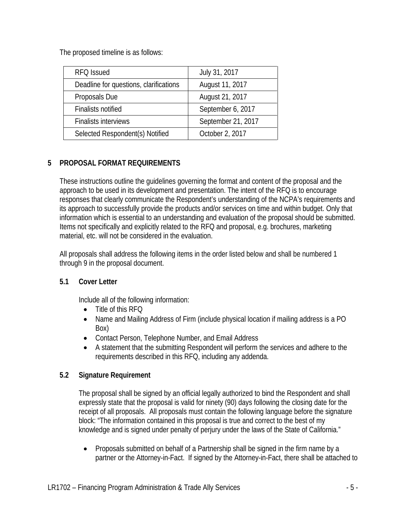The proposed timeline is as follows:

| RFQ Issued                             | July 31, 2017      |
|----------------------------------------|--------------------|
| Deadline for questions, clarifications | August 11, 2017    |
| Proposals Due                          | August 21, 2017    |
| <b>Finalists notified</b>              | September 6, 2017  |
| <b>Finalists interviews</b>            | September 21, 2017 |
| Selected Respondent(s) Notified        | October 2, 2017    |

## **5 PROPOSAL FORMAT REQUIREMENTS**

These instructions outline the guidelines governing the format and content of the proposal and the approach to be used in its development and presentation. The intent of the RFQ is to encourage responses that clearly communicate the Respondent's understanding of the NCPA's requirements and its approach to successfully provide the products and/or services on time and within budget. Only that information which is essential to an understanding and evaluation of the proposal should be submitted. Items not specifically and explicitly related to the RFQ and proposal, e.g. brochures, marketing material, etc. will not be considered in the evaluation.

All proposals shall address the following items in the order listed below and shall be numbered 1 through 9 in the proposal document.

## **5.1 Cover Letter**

Include all of the following information:

- Title of this RFQ
- Name and Mailing Address of Firm (include physical location if mailing address is a PO Box)
- Contact Person, Telephone Number, and Email Address
- A statement that the submitting Respondent will perform the services and adhere to the requirements described in this RFQ, including any addenda.

## **5.2 Signature Requirement**

The proposal shall be signed by an official legally authorized to bind the Respondent and shall expressly state that the proposal is valid for ninety (90) days following the closing date for the receipt of all proposals. All proposals must contain the following language before the signature block: "The information contained in this proposal is true and correct to the best of my knowledge and is signed under penalty of perjury under the laws of the State of California."

• Proposals submitted on behalf of a Partnership shall be signed in the firm name by a partner or the Attorney-in-Fact. If signed by the Attorney-in-Fact, there shall be attached to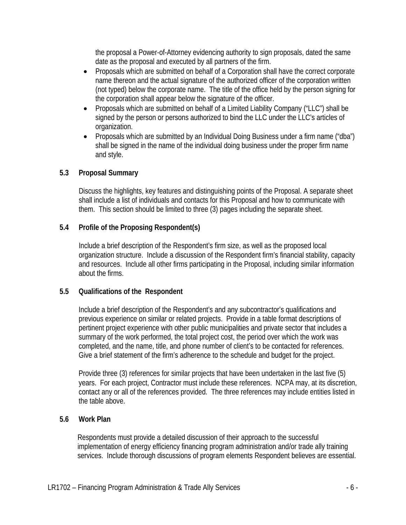the proposal a Power-of-Attorney evidencing authority to sign proposals, dated the same date as the proposal and executed by all partners of the firm.

- Proposals which are submitted on behalf of a Corporation shall have the correct corporate name thereon and the actual signature of the authorized officer of the corporation written (not typed) below the corporate name. The title of the office held by the person signing for the corporation shall appear below the signature of the officer.
- Proposals which are submitted on behalf of a Limited Liability Company ("LLC") shall be signed by the person or persons authorized to bind the LLC under the LLC's articles of organization.
- Proposals which are submitted by an Individual Doing Business under a firm name ("dba") shall be signed in the name of the individual doing business under the proper firm name and style.

#### **5.3 Proposal Summary**

Discuss the highlights, key features and distinguishing points of the Proposal. A separate sheet shall include a list of individuals and contacts for this Proposal and how to communicate with them. This section should be limited to three (3) pages including the separate sheet.

#### **5.4 Profile of the Proposing Respondent(s)**

Include a brief description of the Respondent's firm size, as well as the proposed local organization structure. Include a discussion of the Respondent firm's financial stability, capacity and resources. Include all other firms participating in the Proposal, including similar information about the firms.

#### **5.5 Qualifications of the Respondent**

Include a brief description of the Respondent's and any subcontractor's qualifications and previous experience on similar or related projects. Provide in a table format descriptions of pertinent project experience with other public municipalities and private sector that includes a summary of the work performed, the total project cost, the period over which the work was completed, and the name, title, and phone number of client's to be contacted for references. Give a brief statement of the firm's adherence to the schedule and budget for the project.

Provide three (3) references for similar projects that have been undertaken in the last five (5) years. For each project, Contractor must include these references. NCPA may, at its discretion, contact any or all of the references provided. The three references may include entities listed in the table above.

#### **5.6 Work Plan**

Respondents must provide a detailed discussion of their approach to the successful implementation of energy efficiency financing program administration and/or trade ally training services. Include thorough discussions of program elements Respondent believes are essential.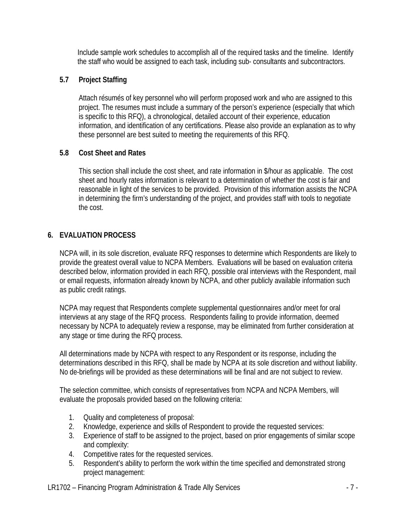Include sample work schedules to accomplish all of the required tasks and the timeline. Identify the staff who would be assigned to each task, including sub- consultants and subcontractors.

#### **5.7 Project Staffing**

Attach résumés of key personnel who will perform proposed work and who are assigned to this project. The resumes must include a summary of the person's experience (especially that which is specific to this RFQ), a chronological, detailed account of their experience, education information, and identification of any certifications. Please also provide an explanation as to why these personnel are best suited to meeting the requirements of this RFQ.

#### **5.8 Cost Sheet and Rates**

This section shall include the cost sheet, and rate information in \$/hour as applicable. The cost sheet and hourly rates information is relevant to a determination of whether the cost is fair and reasonable in light of the services to be provided. Provision of this information assists the NCPA in determining the firm's understanding of the project, and provides staff with tools to negotiate the cost.

## **6. EVALUATION PROCESS**

NCPA will, in its sole discretion, evaluate RFQ responses to determine which Respondents are likely to provide the greatest overall value to NCPA Members. Evaluations will be based on evaluation criteria described below, information provided in each RFQ, possible oral interviews with the Respondent, mail or email requests, information already known by NCPA, and other publicly available information such as public credit ratings.

NCPA may request that Respondents complete supplemental questionnaires and/or meet for oral interviews at any stage of the RFQ process. Respondents failing to provide information, deemed necessary by NCPA to adequately review a response, may be eliminated from further consideration at any stage or time during the RFQ process.

All determinations made by NCPA with respect to any Respondent or its response, including the determinations described in this RFQ, shall be made by NCPA at its sole discretion and without liability. No de-briefings will be provided as these determinations will be final and are not subject to review.

The selection committee, which consists of representatives from NCPA and NCPA Members, will evaluate the proposals provided based on the following criteria:

- 1. Quality and completeness of proposal:
- 2. Knowledge, experience and skills of Respondent to provide the requested services:
- 3. Experience of staff to be assigned to the project, based on prior engagements of similar scope and complexity:
- 4. Competitive rates for the requested services.
- 5. Respondent's ability to perform the work within the time specified and demonstrated strong project management:
- LR1702 Financing Program Administration & Trade Ally Services 7 -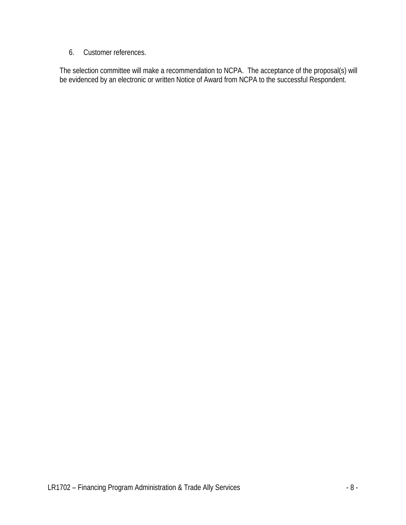6. Customer references.

The selection committee will make a recommendation to NCPA. The acceptance of the proposal(s) will be evidenced by an electronic or written Notice of Award from NCPA to the successful Respondent.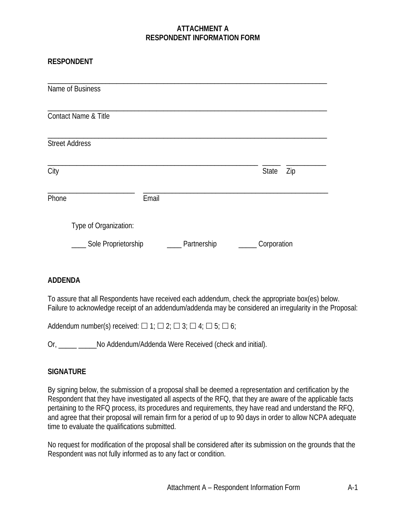#### **ATTACHMENT A RESPONDENT INFORMATION FORM**

#### **RESPONDENT**

| Name of Business      |       |             |             |     |
|-----------------------|-------|-------------|-------------|-----|
| Contact Name & Title  |       |             |             |     |
| <b>Street Address</b> |       |             |             |     |
| City                  |       |             | State       | Zip |
| Phone                 | Email |             |             |     |
| Type of Organization: |       |             |             |     |
| Sole Proprietorship   |       | Partnership | Corporation |     |

#### **ADDENDA**

To assure that all Respondents have received each addendum, check the appropriate box(es) below. Failure to acknowledge receipt of an addendum/addenda may be considered an irregularity in the Proposal:

Addendum number(s) received:  $\Box$  1;  $\Box$  2;  $\Box$  3;  $\Box$  4;  $\Box$  5;  $\Box$  6;

Or, No Addendum/Addenda Were Received (check and initial).

## **SIGNATURE**

By signing below, the submission of a proposal shall be deemed a representation and certification by the Respondent that they have investigated all aspects of the RFQ, that they are aware of the applicable facts pertaining to the RFQ process, its procedures and requirements, they have read and understand the RFQ, and agree that their proposal will remain firm for a period of up to 90 days in order to allow NCPA adequate time to evaluate the qualifications submitted.

No request for modification of the proposal shall be considered after its submission on the grounds that the Respondent was not fully informed as to any fact or condition.